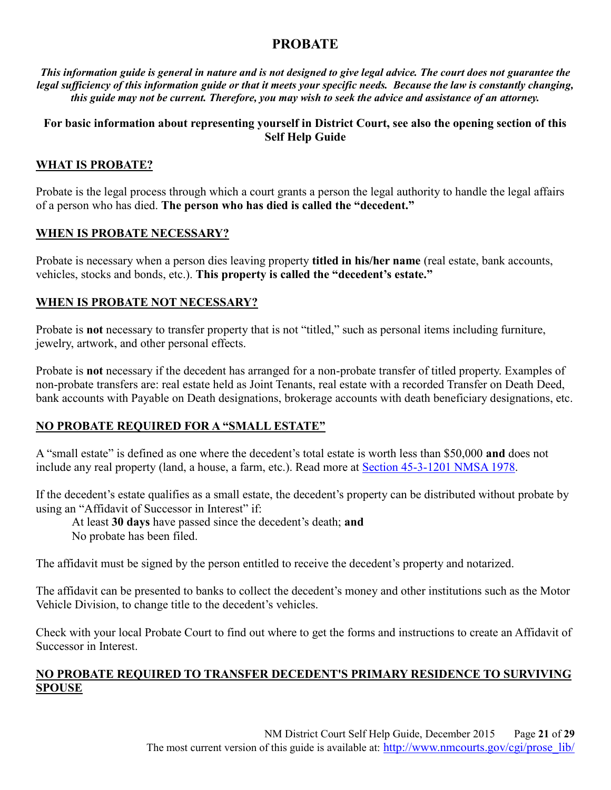# **PROBATE**

*This information guide is general in nature and is not designed to give legal advice. The court does not guarantee the legal sufficiency of this information guide or that it meets your specific needs. Because the law is constantly changing, this guide may not be current. Therefore, you may wish to seek the advice and assistance of an attorney.*

# **For basic information about representing yourself in District Court, see also the opening section of this Self Help Guide**

# **WHAT IS PROBATE?**

Probate is the legal process through which a court grants a person the legal authority to handle the legal affairs of a person who has died. **The person who has died is called the "decedent."**

### **WHEN IS PROBATE NECESSARY?**

Probate is necessary when a person dies leaving property **titled in his/her name** (real estate, bank accounts, vehicles, stocks and bonds, etc.). **This property is called the "decedent's estate."**

# **WHEN IS PROBATE NOT NECESSARY?**

Probate is **not** necessary to transfer property that is not "titled," such as personal items including furniture, jewelry, artwork, and other personal effects.

Probate is **not** necessary if the decedent has arranged for a non-probate transfer of titled property. Examples of non-probate transfers are: real estate held as Joint Tenants, real estate with a recorded Transfer on Death Deed, bank accounts with Payable on Death designations, brokerage accounts with death beneficiary designations, etc.

# **NO PROBATE REQUIRED FOR A "SMALL ESTATE"**

A "small estate" is defined as one where the decedent's total estate is worth less than \$50,000 **and** does not include any real property (land, a house, a farm, etc.). Read more at Section 45-3-1201 NMSA 1978.

If the decedent's estate qualifies as a small estate, the decedent's property can be distributed without probate by using an "Affidavit of Successor in Interest" if:

At least **30 days** have passed since the decedent's death; **and**  No probate has been filed.

The affidavit must be signed by the person entitled to receive the decedent's property and notarized.

The affidavit can be presented to banks to collect the decedent's money and other institutions such as the Motor Vehicle Division, to change title to the decedent's vehicles.

Check with your local Probate Court to find out where to get the forms and instructions to create an Affidavit of Successor in Interest.

# **NO PROBATE REQUIRED TO TRANSFER DECEDENT'S PRIMARY RESIDENCE TO SURVIVING SPOUSE**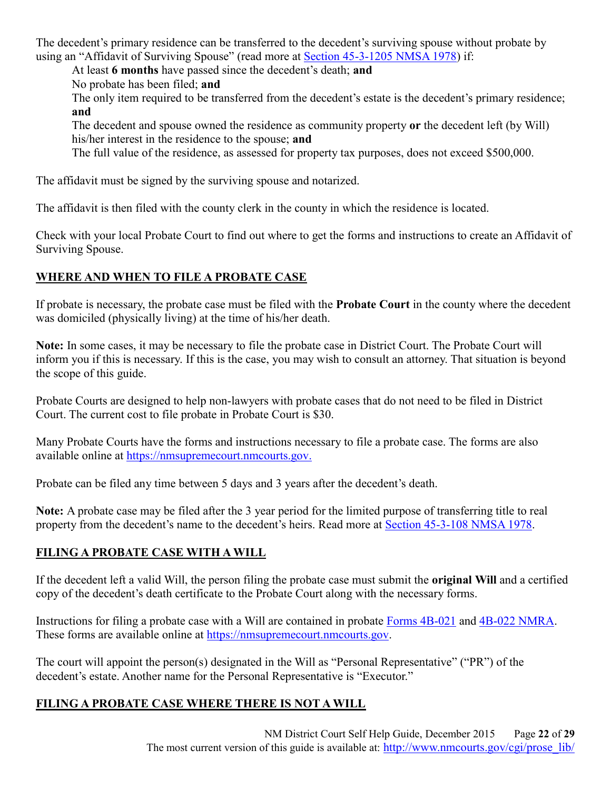The decedent's primary residence can be transferred to the decedent's surviving spouse without probate by using an "Affidavit of Surviving Spouse" (read more at Section 45-3-1205 NMSA 1978) if:

At least **6 months** have passed since the decedent's death; **and**

No probate has been filed; **and**

The only item required to be transferred from the decedent's estate is the decedent's primary residence; **and**

The decedent and spouse owned the residence as community property **or** the decedent left (by Will) his/her interest in the residence to the spouse; **and**

The full value of the residence, as assessed for property tax purposes, does not exceed \$500,000.

The affidavit must be signed by the surviving spouse and notarized.

The affidavit is then filed with the county clerk in the county in which the residence is located.

Check with your local Probate Court to find out where to get the forms and instructions to create an Affidavit of Surviving Spouse.

# **WHERE AND WHEN TO FILE A PROBATE CASE**

If probate is necessary, the probate case must be filed with the **Probate Court** in the county where the decedent was domiciled (physically living) at the time of his/her death.

**Note:** In some cases, it may be necessary to file the probate case in District Court. The Probate Court will inform you if this is necessary. If this is the case, you may wish to consult an attorney. That situation is beyond the scope of this guide.

Probate Courts are designed to help non-lawyers with probate cases that do not need to be filed in District Court. The current cost to file probate in Probate Court is \$30.

Many Probate Courts have the forms and instructions necessary to file a probate case. The forms are also available online at https://nmsupremecourt.nmcourts.gov.

Probate can be filed any time between 5 days and 3 years after the decedent's death.

**Note:** A probate case may be filed after the 3 year period for the limited purpose of transferring title to real property from the decedent's name to the decedent's heirs. Read more at Section 45-3-108 NMSA 1978.

# **FILING A PROBATE CASE WITH A WILL**

If the decedent left a valid Will, the person filing the probate case must submit the **original Will** and a certified copy of the decedent's death certificate to the Probate Court along with the necessary forms.

Instructions for filing a probate case with a Will are contained in probate Forms 4B-021 and 4B-022 NMRA. These forms are available online at https://nmsupremecourt.nmcourts.gov.

The court will appoint the person(s) designated in the Will as "Personal Representative" ("PR") of the decedent's estate. Another name for the Personal Representative is "Executor."

# **FILING A PROBATE CASE WHERE THERE IS NOT A WILL**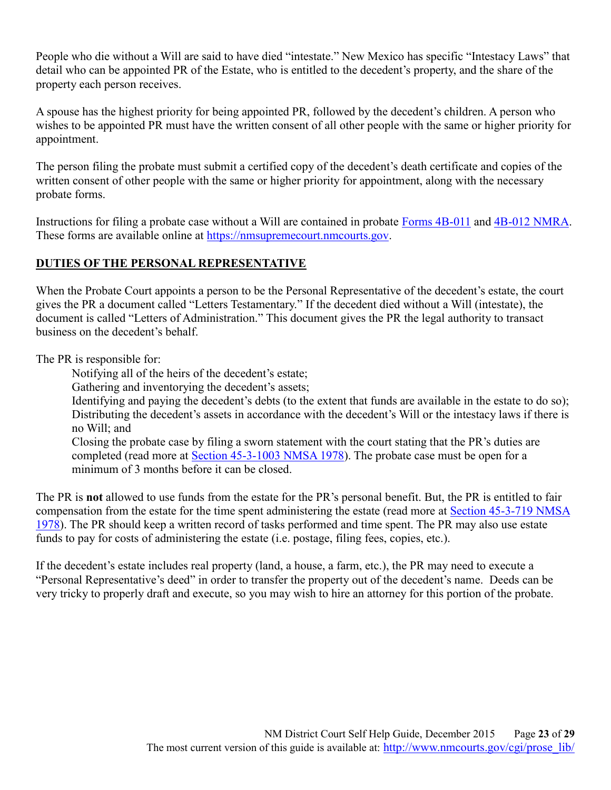People who die without a Will are said to have died "intestate." New Mexico has specific "Intestacy Laws" that detail who can be appointed PR of the Estate, who is entitled to the decedent's property, and the share of the property each person receives.

A spouse has the highest priority for being appointed PR, followed by the decedent's children. A person who wishes to be appointed PR must have the written consent of all other people with the same or higher priority for appointment.

The person filing the probate must submit a certified copy of the decedent's death certificate and copies of the written consent of other people with the same or higher priority for appointment, along with the necessary probate forms.

Instructions for filing a probate case without a Will are contained in probate Forms 4B-011 and 4B-012 NMRA. These forms are available online at https://nmsupremecourt.nmcourts.gov.

# **DUTIES OF THE PERSONAL REPRESENTATIVE**

When the Probate Court appoints a person to be the Personal Representative of the decedent's estate, the court gives the PR a document called "Letters Testamentary." If the decedent died without a Will (intestate), the document is called "Letters of Administration." This document gives the PR the legal authority to transact business on the decedent's behalf.

The PR is responsible for:

Notifying all of the heirs of the decedent's estate;

Gathering and inventorying the decedent's assets;

Identifying and paying the decedent's debts (to the extent that funds are available in the estate to do so); Distributing the decedent's assets in accordance with the decedent's Will or the intestacy laws if there is no Will; and

Closing the probate case by filing a sworn statement with the court stating that the PR's duties are completed (read more at Section 45-3-1003 NMSA 1978). The probate case must be open for a minimum of 3 months before it can be closed.

The PR is **not** allowed to use funds from the estate for the PR's personal benefit. But, the PR is entitled to fair compensation from the estate for the time spent administering the estate (read more at Section 45-3-719 NMSA 1978). The PR should keep a written record of tasks performed and time spent. The PR may also use estate funds to pay for costs of administering the estate (i.e. postage, filing fees, copies, etc.).

If the decedent's estate includes real property (land, a house, a farm, etc.), the PR may need to execute a "Personal Representative's deed" in order to transfer the property out of the decedent's name. Deeds can be very tricky to properly draft and execute, so you may wish to hire an attorney for this portion of the probate.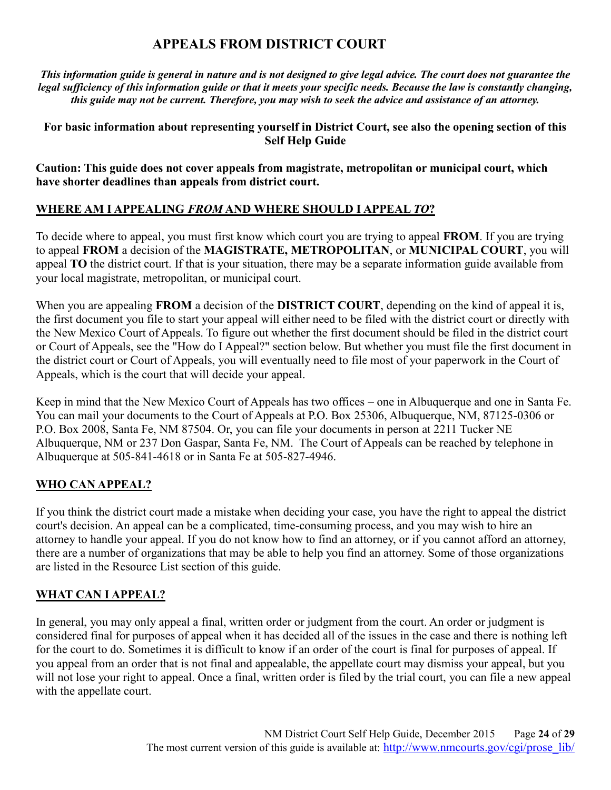# **APPEALS FROM DISTRICT COURT**

*This information guide is general in nature and is not designed to give legal advice. The court does not guarantee the legal sufficiency of this information guide or that it meets your specific needs. Because the law is constantly changing, this guide may not be current. Therefore, you may wish to seek the advice and assistance of an attorney.*

# **For basic information about representing yourself in District Court, see also the opening section of this Self Help Guide**

**Caution: This guide does not cover appeals from magistrate, metropolitan or municipal court, which have shorter deadlines than appeals from district court.**

# **WHERE AM I APPEALING** *FROM* **AND WHERE SHOULD I APPEAL** *TO***?**

To decide where to appeal, you must first know which court you are trying to appeal **FROM**. If you are trying to appeal **FROM** a decision of the **MAGISTRATE, METROPOLITAN**, or **MUNICIPAL COURT**, you will appeal **TO** the district court. If that is your situation, there may be a separate information guide available from your local magistrate, metropolitan, or municipal court.

When you are appealing **FROM** a decision of the **DISTRICT COURT**, depending on the kind of appeal it is, the first document you file to start your appeal will either need to be filed with the district court or directly with the New Mexico Court of Appeals. To figure out whether the first document should be filed in the district court or Court of Appeals, see the "How do I Appeal?" section below. But whether you must file the first document in the district court or Court of Appeals, you will eventually need to file most of your paperwork in the Court of Appeals, which is the court that will decide your appeal.

Keep in mind that the New Mexico Court of Appeals has two offices – one in Albuquerque and one in Santa Fe. You can mail your documents to the Court of Appeals at P.O. Box 25306, Albuquerque, NM, 87125-0306 or P.O. Box 2008, Santa Fe, NM 87504. Or, you can file your documents in person at 2211 Tucker NE Albuquerque, NM or 237 Don Gaspar, Santa Fe, NM. The Court of Appeals can be reached by telephone in Albuquerque at 505-841-4618 or in Santa Fe at 505-827-4946.

# **WHO CAN APPEAL?**

If you think the district court made a mistake when deciding your case, you have the right to appeal the district court's decision. An appeal can be a complicated, time-consuming process, and you may wish to hire an attorney to handle your appeal. If you do not know how to find an attorney, or if you cannot afford an attorney, there are a number of organizations that may be able to help you find an attorney. Some of those organizations are listed in the Resource List section of this guide.

# **WHAT CAN I APPEAL?**

In general, you may only appeal a final, written order or judgment from the court. An order or judgment is considered final for purposes of appeal when it has decided all of the issues in the case and there is nothing left for the court to do. Sometimes it is difficult to know if an order of the court is final for purposes of appeal. If you appeal from an order that is not final and appealable, the appellate court may dismiss your appeal, but you will not lose your right to appeal. Once a final, written order is filed by the trial court, you can file a new appeal with the appellate court.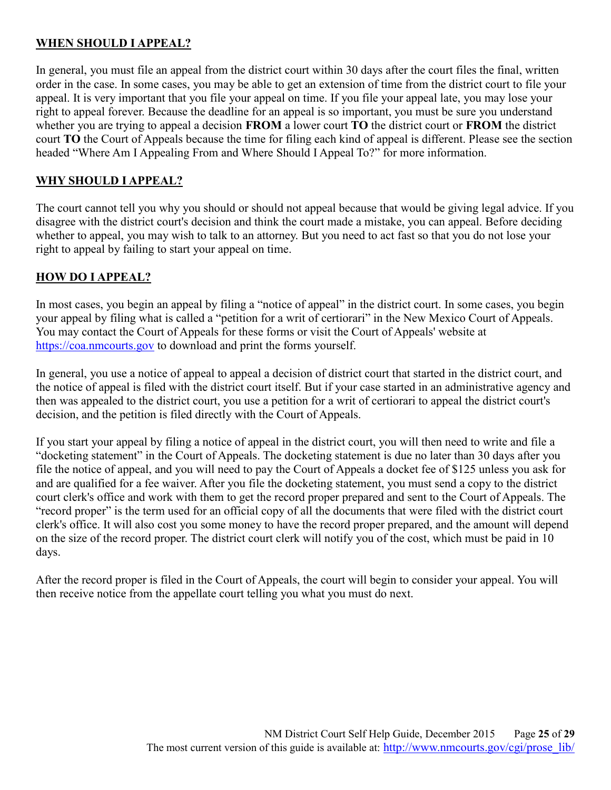# **WHEN SHOULD I APPEAL?**

In general, you must file an appeal from the district court within 30 days after the court files the final, written order in the case. In some cases, you may be able to get an extension of time from the district court to file your appeal. It is very important that you file your appeal on time. If you file your appeal late, you may lose your right to appeal forever. Because the deadline for an appeal is so important, you must be sure you understand whether you are trying to appeal a decision **FROM** a lower court **TO** the district court or **FROM** the district court **TO** the Court of Appeals because the time for filing each kind of appeal is different. Please see the section headed "Where Am I Appealing From and Where Should I Appeal To?" for more information.

# **WHY SHOULD I APPEAL?**

The court cannot tell you why you should or should not appeal because that would be giving legal advice. If you disagree with the district court's decision and think the court made a mistake, you can appeal. Before deciding whether to appeal, you may wish to talk to an attorney. But you need to act fast so that you do not lose your right to appeal by failing to start your appeal on time.

### **HOW DO I APPEAL?**

In most cases, you begin an appeal by filing a "notice of appeal" in the district court. In some cases, you begin your appeal by filing what is called a "petition for a writ of certiorari" in the New Mexico Court of Appeals. You may contact the Court of Appeals for these forms or visit the Court of Appeals' website at https://coa.nmcourts.gov to download and print the forms yourself.

In general, you use a notice of appeal to appeal a decision of district court that started in the district court, and the notice of appeal is filed with the district court itself. But if your case started in an administrative agency and then was appealed to the district court, you use a petition for a writ of certiorari to appeal the district court's decision, and the petition is filed directly with the Court of Appeals.

If you start your appeal by filing a notice of appeal in the district court, you will then need to write and file a "docketing statement" in the Court of Appeals. The docketing statement is due no later than 30 days after you file the notice of appeal, and you will need to pay the Court of Appeals a docket fee of \$125 unless you ask for and are qualified for a fee waiver. After you file the docketing statement, you must send a copy to the district court clerk's office and work with them to get the record proper prepared and sent to the Court of Appeals. The "record proper" is the term used for an official copy of all the documents that were filed with the district court clerk's office. It will also cost you some money to have the record proper prepared, and the amount will depend on the size of the record proper. The district court clerk will notify you of the cost, which must be paid in 10 days.

After the record proper is filed in the Court of Appeals, the court will begin to consider your appeal. You will then receive notice from the appellate court telling you what you must do next.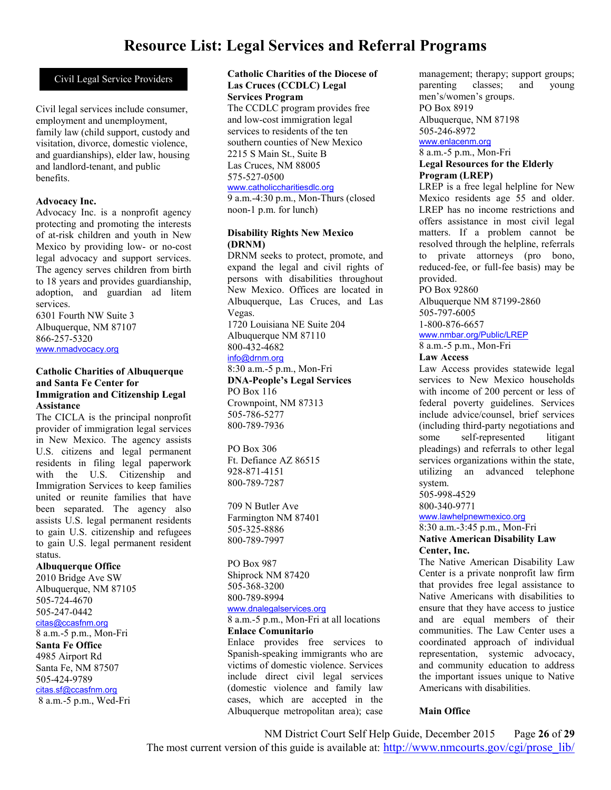# **Resource List: Legal Services and Referral Programs**

### Civil Legal Service Providers

Civil legal services include consumer, employment and unemployment, family law (child support, custody and visitation, divorce, domestic violence, and guardianships), elder law, housing and landlord-tenant, and public benefits.

#### **Advocacy Inc.**

Advocacy Inc. is a nonprofit agency protecting and promoting the interests of at-risk children and youth in New Mexico by providing low- or no-cost legal advocacy and support services. The agency serves children from birth to 18 years and provides guardianship, adoption, and guardian ad litem services.

6301 Fourth NW Suite 3 Albuquerque, NM 87107 866-257-5320 www.nmadvocacy.org

#### **Catholic Charities of Albuquerque and Santa Fe Center for Immigration and Citizenship Legal Assistance**

The CICLA is the principal nonprofit provider of immigration legal services in New Mexico. The agency assists U.S. citizens and legal permanent residents in filing legal paperwork with the U.S. Citizenship and Immigration Services to keep families united or reunite families that have been separated. The agency also assists U.S. legal permanent residents to gain U.S. citizenship and refugees to gain U.S. legal permanent resident status.

### **Albuquerque Office**

2010 Bridge Ave SW Albuquerque, NM 87105 505-724-4670 505-247-0442 citas@ccasfnm.org 8 a.m.-5 p.m., Mon-Fri **Santa Fe Office** 4985 Airport Rd Santa Fe, NM 87507 505-424-9789 citas.sf@ccasfnm.org 8 a.m.-5 p.m., Wed-Fri

#### **Catholic Charities of the Diocese of Las Cruces (CCDLC) Legal Services Program**

The CCDLC program provides free and low-cost immigration legal services to residents of the ten southern counties of New Mexico 2215 S Main St., Suite B Las Cruces, NM 88005 575-527-0500 www.catholiccharitiesdlc.org

9 a.m.-4:30 p.m., Mon-Thurs (closed noon-1 p.m. for lunch)

#### **Disability Rights New Mexico (DRNM)**

DRNM seeks to protect, promote, and expand the legal and civil rights of persons with disabilities throughout New Mexico. Offices are located in Albuquerque, Las Cruces, and Las Vegas. 1720 Louisiana NE Suite 204 Albuquerque NM 87110 800-432-4682 info@drnm.org 8:30 a.m.-5 p.m., Mon-Fri **DNA-People's Legal Services** PO Box 116 Crownpoint, NM 87313 505-786-5277 800-789-7936

PO Box 306 Ft. Defiance AZ 86515 928-871-4151 800-789-7287

709 N Butler Ave Farmington NM 87401 505-325-8886 800-789-7997

PO Box 987 Shiprock NM 87420 505-368-3200 800-789-8994 www.dnalegalservices.org

8 a.m.-5 p.m., Mon-Fri at all locations

### **Enlace Comunitario**

Enlace provides free services to Spanish-speaking immigrants who are victims of domestic violence. Services include direct civil legal services (domestic violence and family law cases, which are accepted in the Albuquerque metropolitan area); case

management; therapy; support groups; parenting classes; and young men's/women's groups. PO Box 8919 Albuquerque, NM 87198 505-246-8972 www.enlacenm.org 8 a.m.-5 p.m., Mon-Fri

### **Legal Resources for the Elderly Program (LREP)**

LREP is a free legal helpline for New Mexico residents age 55 and older. LREP has no income restrictions and offers assistance in most civil legal matters. If a problem cannot be resolved through the helpline, referrals to private attorneys (pro bono, reduced-fee, or full-fee basis) may be provided.

PO Box 92860

Albuquerque NM 87199-2860 505-797-6005 1-800-876-6657

www.nmbar.org/Public/LREP

8 a.m.-5 p.m., Mon-Fri

#### **Law Access**

Law Access provides statewide legal services to New Mexico households with income of 200 percent or less of federal poverty guidelines. Services include advice/counsel, brief services (including third-party negotiations and some self-represented litigant pleadings) and referrals to other legal services organizations within the state, utilizing an advanced telephone system. 505-998-4529

800-340-9771

www.lawhelpnewmexico.org

### 8:30 a.m.-3:45 p.m., Mon-Fri **Native American Disability Law**

**Center, Inc.**

The Native American Disability Law Center is a private nonprofit law firm that provides free legal assistance to Native Americans with disabilities to ensure that they have access to justice and are equal members of their communities. The Law Center uses a coordinated approach of individual representation, systemic advocacy, and community education to address the important issues unique to Native Americans with disabilities.

### **Main Office**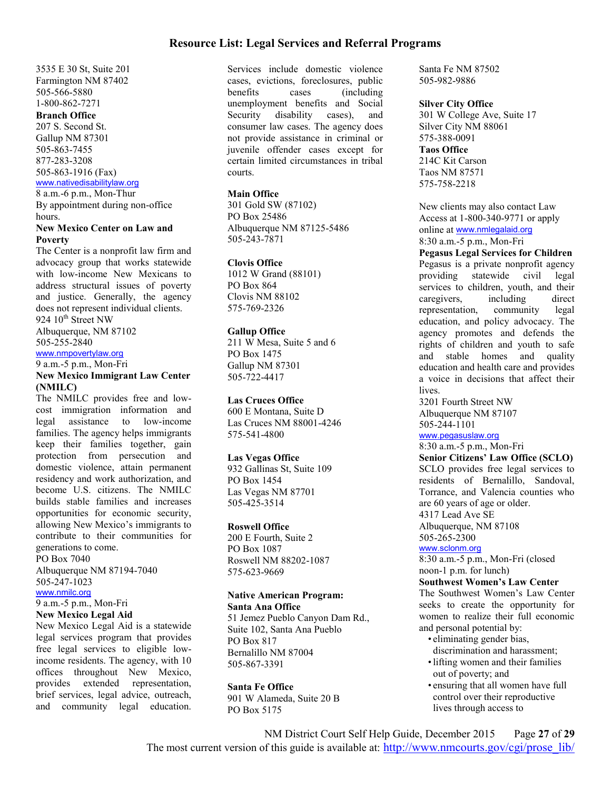### **Resource List: Legal Services and Referral Programs**

3535 E 30 St, Suite 201 Farmington NM 87402 505-566-5880 1-800-862-7271 **Branch Office** 207 S. Second St. Gallup NM 87301 505-863-7455 877-283-3208 505-863-1916 (Fax) www.nativedisabilitylaw.org 8 a.m.-6 p.m., Mon-Thur

By appointment during non-office hours.

### **New Mexico Center on Law and Poverty**

The Center is a nonprofit law firm and advocacy group that works statewide with low-income New Mexicans to address structural issues of poverty and justice. Generally, the agency does not represent individual clients.

924 10<sup>th</sup> Street NW

Albuquerque, NM 87102 505-255-2840

#### www.nmpovertylaw.org

9 a.m.-5 p.m., Mon-Fri

#### **New Mexico Immigrant Law Center (NMILC)**

The NMILC provides free and lowcost immigration information and legal assistance to low-income families. The agency helps immigrants keep their families together, gain protection from persecution and domestic violence, attain permanent residency and work authorization, and become U.S. citizens. The NMILC builds stable families and increases opportunities for economic security, allowing New Mexico's immigrants to contribute to their communities for generations to come.

PO Box 7040

Albuquerque NM 87194-7040 505-247-1023

www.nmilc.org

# 9 a.m.-5 p.m., Mon-Fri

**New Mexico Legal Aid**

New Mexico Legal Aid is a statewide legal services program that provides free legal services to eligible lowincome residents. The agency, with 10 offices throughout New Mexico, provides extended representation, brief services, legal advice, outreach, and community legal education.

Services include domestic violence cases, evictions, foreclosures, public benefits cases (including unemployment benefits and Social Security disability cases), and consumer law cases. The agency does not provide assistance in criminal or juvenile offender cases except for certain limited circumstances in tribal courts.

### **Main Office**

301 Gold SW (87102) PO Box 25486 Albuquerque NM 87125-5486 505-243-7871

#### **Clovis Office**

1012 W Grand (88101) PO Box 864 Clovis NM 88102 575-769-2326

#### **Gallup Office**

211 W Mesa, Suite 5 and 6 PO Box 1475 Gallup NM 87301 505-722-4417

### **Las Cruces Office**

600 E Montana, Suite D Las Cruces NM 88001-4246 575-541-4800

### **Las Vegas Office**

932 Gallinas St, Suite 109 PO Box 1454 Las Vegas NM 87701 505-425-3514

#### **Roswell Office**

200 E Fourth, Suite 2 PO Box 1087 Roswell NM 88202-1087 575-623-9669

#### **Native American Program: Santa Ana Office**

51 Jemez Pueblo Canyon Dam Rd., Suite 102, Santa Ana Pueblo PO Box 817 Bernalillo NM 87004 505-867-3391

#### **Santa Fe Office**

901 W Alameda, Suite 20 B PO Box 5175

Santa Fe NM 87502 505-982-9886

### **Silver City Office**

301 W College Ave, Suite 17 Silver City NM 88061 575-388-0091 **Taos Office** 214C Kit Carson Taos NM 87571 575-758-2218

New clients may also contact Law Access at 1-800-340-9771 or apply online at www.nmlegalaid.org 8:30 a.m.-5 p.m., Mon-Fri

### **Pegasus Legal Services for Children**

Pegasus is a private nonprofit agency<br>providing statewide civil legal providing statewide civil services to children, youth, and their caregivers, including direct representation, community legal education, and policy advocacy. The agency promotes and defends the rights of children and youth to safe and stable homes and quality education and health care and provides a voice in decisions that affect their lives.

3201 Fourth Street NW Albuquerque NM 87107 505-244-1101

### www.pegasuslaw.org

8:30 a.m.-5 p.m., Mon-Fri

**Senior Citizens' Law Office (SCLO)** SCLO provides free legal services to residents of Bernalillo, Sandoval, Torrance, and Valencia counties who are 60 years of age or older. 4317 Lead Ave SE Albuquerque, NM 87108

505-265-2300

### www.sclonm.org

8:30 a.m.-5 p.m., Mon-Fri (closed noon-1 p.m. for lunch)

### **Southwest Women's Law Center**

The Southwest Women's Law Center seeks to create the opportunity for women to realize their full economic and personal potential by:

- eliminating gender bias, discrimination and harassment;
- •lifting women and their families out of poverty; and
- ensuring that all women have full control over their reproductive lives through access to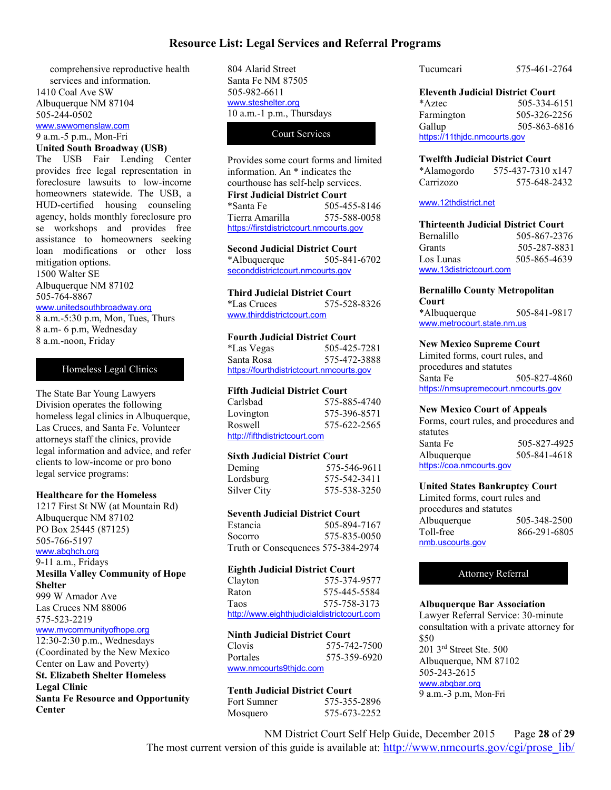### **Resource List: Legal Services and Referral Programs**

comprehensive reproductive health services and information. 1410 Coal Ave SW Albuquerque NM 87104 505-244-0502

www.swwomenslaw.com 9 a.m.-5 p.m., Mon-Fri

#### **United South Broadway (USB)**

The USB Fair Lending Center provides free legal representation in foreclosure lawsuits to low-income homeowners statewide. The USB, a HUD-certified housing counseling agency, holds monthly foreclosure pro se workshops and provides free assistance to homeowners seeking loan modifications or other loss mitigation options. 1500 Walter SE

Albuquerque NM 87102 505-764-8867

#### www.unitedsouthbroadway.org

8 a.m.-5:30 p.m, Mon, Tues, Thurs 8 a.m- 6 p.m, Wednesday 8 a.m.-noon, Friday

#### Homeless Legal Clinics

The State Bar Young Lawyers Division operates the following homeless legal clinics in Albuquerque, Las Cruces, and Santa Fe. Volunteer attorneys staff the clinics, provide legal information and advice, and refer clients to low-income or pro bono legal service programs:

#### **Healthcare for the Homeless**

1217 First St NW (at Mountain Rd) Albuquerque NM 87102 PO Box 25445 (87125) 505-766-5197

#### www.abqhch.org

9-11 a.m., Fridays **Mesilla Valley Community of Hope Shelter** 999 W Amador Ave

Las Cruces NM 88006 575-523-2219

### www.mvcommunityofhope.org

12:30-2:30 p.m., Wednesdays (Coordinated by the New Mexico Center on Law and Poverty) **St. Elizabeth Shelter Homeless Legal Clinic Santa Fe Resource and Opportunity Center**

804 Alarid Street Santa Fe NM 87505 505-982-6611 www.steshelter.org 10 a.m.-1 p.m., Thursdays

### Court Services

Provides some court forms and limited information. An \* indicates the courthouse has self-help services. **First Judicial District Court** \*Santa Fe 505-455-8146 Tierra Amarilla 575-588-0058 https://firstdistrictcourt.nmcourts.gov

#### **Second Judicial District Court** \*Albuquerque 505-841-6702

seconddistrictcourt.nmcourts.gov

#### **Third Judicial District Court**

\*Las Cruces 575-528-8326 www.thirddistrictcourt.com

#### **Fourth Judicial District Court**

| *Las Vegas                               | 505-425-7281 |  |
|------------------------------------------|--------------|--|
| Santa Rosa                               | 575-472-3888 |  |
| https://fourthdistrictcourt.nmcourts.gov |              |  |

### **Fifth Judicial District Court**

| Carlsbad                      | 575-885-4740 |
|-------------------------------|--------------|
| Lovington                     | 575-396-8571 |
| Roswell                       | 575-622-2565 |
| http://fifthdistrictcourt.com |              |

#### **Sixth Judicial District Court**

| Deming      | 575-546-9611 |
|-------------|--------------|
| Lordsburg   | 575-542-3411 |
| Silver City | 575-538-3250 |

#### **Seventh Judicial District Court**

| Estancia                           | 505-894-7167 |
|------------------------------------|--------------|
| Socorro                            | 575-835-0050 |
| Truth or Consequences 575-384-2974 |              |

#### **Eighth Judicial District Court**

| Clayton     | 575-374-9577                               |
|-------------|--------------------------------------------|
| Raton       | 575-445-5584                               |
| <b>Taos</b> | 575-758-3173                               |
|             | http://www.eighthjudicialdistrictcourt.com |

### **Ninth Judicial District Court**

Clovis 575-742-7500 Portales 575-359-6920 www.nmcourts9thjdc.com

| <b>Tenth Judicial District Court</b> |              |  |
|--------------------------------------|--------------|--|
| <b>Fort Sumner</b>                   | 575-355-2896 |  |
| Mosquero                             | 575-673-2252 |  |

Tucumcari 575-461-2764

### **Eleventh Judicial District Court**

\*Aztec 505-334-6151 Farmington 505-326-2256 Gallup 505-863-6816 https://11thjdc.nmcourts.gov

#### **Twelfth Judicial District Court**

| *Alamogordo | 575-437-7310 x147 |
|-------------|-------------------|
| Carrizozo   | 575-648-2432      |

#### www.12thdistrict.net

| <b>Thirteenth Judicial District Court</b> |              |
|-------------------------------------------|--------------|
| Bernalillo                                | 505-867-2376 |
| Grants                                    | 505-287-8831 |
| Los Lunas                                 | 505-865-4639 |
| www.13districtcourt.com                   |              |

### **Bernalillo County Metropolitan**

**Court** \*Albuquerque 505-841-9817 www.metrocourt.state.nm.us

#### **New Mexico Supreme Court**

Limited forms, court rules, and procedures and statutes Santa Fe 505-827-4860 https://nmsupremecourt.nmcourts.gov

#### **New Mexico Court of Appeals**

Forms, court rules, and procedures and statutes Santa Fe 505-827-4925 Albuquerque 505-841-4618 https://coa.nmcourts.gov

#### **United States Bankruptcy Court**

Limited forms, court rules and procedures and statutes Albuquerque 505-348-2500 Toll-free 866-291-6805 nmb.uscourts.gov

#### Attorney Referral

#### **Albuquerque Bar Association**

Lawyer Referral Service: 30-minute consultation with a private attorney for \$50 201 3rd Street Ste. 500 Albuquerque, NM 87102 505-243-2615 www.abqbar.org 9 a.m.-3 p.m, Mon-Fri

NM District Court Self Help Guide, December 2015 Page **28** of **29** The most current version of this guide is available at: http://www.nmcourts.gov/cgi/prose\_lib/